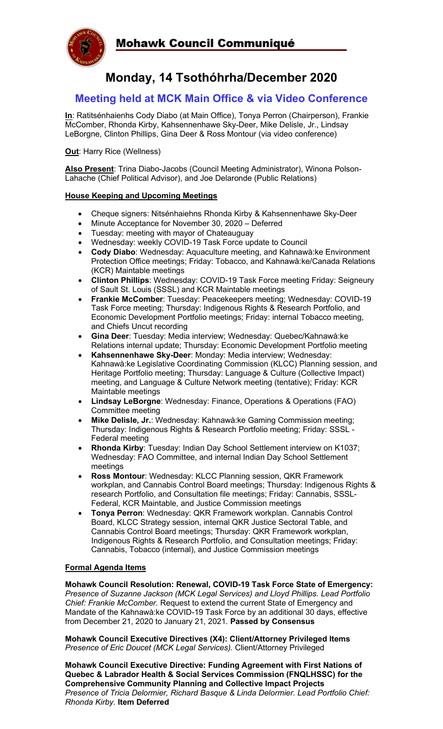

# **Monday, 14 Tsothóhrha/December 2020**

# **Meeting held at MCK Main Office & via Video Conference**

**In**: Ratitsénhaienhs Cody Diabo (at Main Office), Tonya Perron (Chairperson), Frankie McComber, Rhonda Kirby, Kahsennenhawe Sky-Deer, Mike Delisle, Jr., Lindsay LeBorgne, Clinton Phillips, Gina Deer & Ross Montour (via video conference)

**Out: Harry Rice (Wellness)** 

**Also Present**: Trina Diabo-Jacobs (Council Meeting Administrator), Winona Polson-Lahache (Chief Political Advisor), and Joe Delaronde (Public Relations)

#### **House Keeping and Upcoming Meetings**

- Cheque signers: Nitsénhaiehns Rhonda Kirby & Kahsennenhawe Sky-Deer
- Minute Acceptance for November 30, 2020 Deferred
- Tuesday: meeting with mayor of Chateauguay
- Wednesday: weekly COVID-19 Task Force update to Council
- **Cody Diabo**: Wednesday: Aquaculture meeting, and Kahnawà:ke Environment Protection Office meetings; Friday: Tobacco, and Kahnawà:ke/Canada Relations (KCR) Maintable meetings
- **Clinton Phillips**: Wednesday: COVID-19 Task Force meeting Friday: Seigneury of Sault St. Louis (SSSL) and KCR Maintable meetings
- **Frankie McComber**: Tuesday: Peacekeepers meeting; Wednesday: COVID-19 Task Force meeting; Thursday: Indigenous Rights & Research Portfolio, and Economic Development Portfolio meetings; Friday: internal Tobacco meeting, and Chiefs Uncut recording
- **Gina Deer**: Tuesday: Media interview; Wednesday: Quebec/Kahnawà:ke Relations internal update; Thursday: Economic Development Portfolio meeting
- **Kahsennenhawe Sky-Deer**: Monday: Media interview; Wednesday: Kahnawà:ke Legislative Coordinating Commission (KLCC) Planning session, and Heritage Portfolio meeting; Thursday: Language & Culture (Collective Impact) meeting, and Language & Culture Network meeting (tentative); Friday: KCR Maintable meetings
- **Lindsay LeBorgne**: Wednesday: Finance, Operations & Operations (FAO) Committee meeting
- **Mike Delisle, Jr.**: Wednesday: Kahnawà:ke Gaming Commission meeting; Thursday: Indigenous Rights & Research Portfolio meeting; Friday: SSSL - Federal meeting
- **Rhonda Kirby**: Tuesday: Indian Day School Settlement interview on K1037; Wednesday: FAO Committee, and internal Indian Day School Settlement meetings
- **Ross Montour**: Wednesday: KLCC Planning session, QKR Framework workplan, and Cannabis Control Board meetings; Thursday: Indigenous Rights & research Portfolio, and Consultation file meetings; Friday: Cannabis, SSSL-Federal, KCR Maintable, and Justice Commission meetings
- **Tonya Perron**: Wednesday: QKR Framework workplan. Cannabis Control Board, KLCC Strategy session, internal QKR Justice Sectoral Table, and Cannabis Control Board meetings; Thursday: QKR Framework workplan, Indigenous Rights & Research Portfolio, and Consultation meetings; Friday: Cannabis, Tobacco (internal), and Justice Commission meetings

## **Formal Agenda Items**

**Mohawk Council Resolution: Renewal, COVID-19 Task Force State of Emergency:**  *Presence of Suzanne Jackson (MCK Legal Services) and Lloyd Phillips. Lead Portfolio Chief: Frankie McComber.* Request to extend the current State of Emergency and Mandate of the Kahnawà:ke COVID-19 Task Force by an additional 30 days, effective from December 21, 2020 to January 21, 2021. **Passed by Consensus**

**Mohawk Council Executive Directives (X4): Client/Attorney Privileged Items** *Presence of Eric Doucet (MCK Legal Services).* Client/Attorney Privileged

**Mohawk Council Executive Directive: Funding Agreement with First Nations of Quebec & Labrador Health & Social Services Commission (FNQLHSSC) for the Comprehensive Community Planning and Collective Impact Projects** *Presence of Tricia Delormier, Richard Basque & Linda Delormier. Lead Portfolio Chief: Rhonda Kirby.* **Item Deferred**